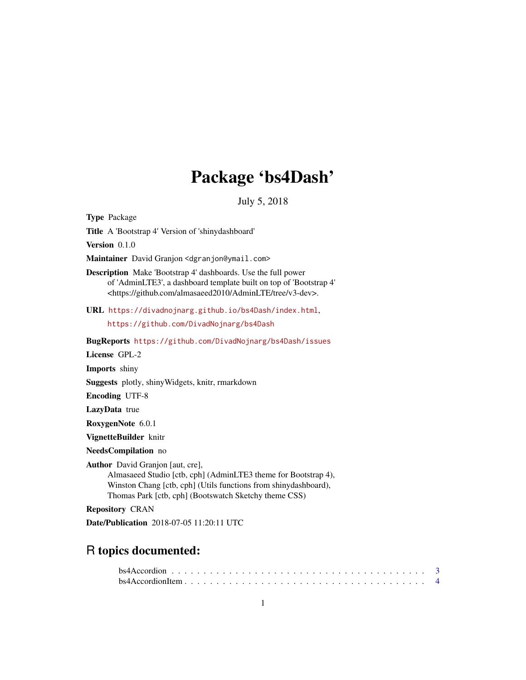# Package 'bs4Dash'

July 5, 2018

<span id="page-0-0"></span>Type Package

Title A 'Bootstrap 4' Version of 'shinydashboard'

Version 0.1.0

Maintainer David Granjon <dgranjon@ymail.com>

Description Make 'Bootstrap 4' dashboards. Use the full power of 'AdminLTE3', a dashboard template built on top of 'Bootstrap 4' <https://github.com/almasaeed2010/AdminLTE/tree/v3-dev>.

URL <https://divadnojnarg.github.io/bs4Dash/index.html>, <https://github.com/DivadNojnarg/bs4Dash>

BugReports <https://github.com/DivadNojnarg/bs4Dash/issues>

License GPL-2

Imports shiny

Suggests plotly, shinyWidgets, knitr, rmarkdown

Encoding UTF-8

LazyData true

RoxygenNote 6.0.1

VignetteBuilder knitr

NeedsCompilation no

Author David Granjon [aut, cre],

Almasaeed Studio [ctb, cph] (AdminLTE3 theme for Bootstrap 4), Winston Chang [ctb, cph] (Utils functions from shinydashboard), Thomas Park [ctb, cph] (Bootswatch Sketchy theme CSS)

Repository CRAN

Date/Publication 2018-07-05 11:20:11 UTC

# R topics documented: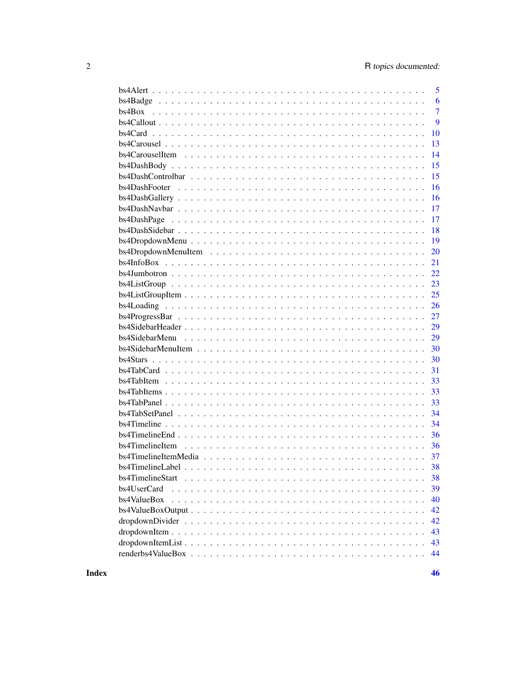|                                                                                                                        | 5              |
|------------------------------------------------------------------------------------------------------------------------|----------------|
|                                                                                                                        | 6              |
|                                                                                                                        | $\overline{7}$ |
|                                                                                                                        | 9              |
|                                                                                                                        | 10             |
|                                                                                                                        | 13             |
|                                                                                                                        | 14             |
|                                                                                                                        | 15             |
|                                                                                                                        | 15             |
|                                                                                                                        | 16             |
|                                                                                                                        | 16             |
|                                                                                                                        | 17             |
|                                                                                                                        | 17             |
| $bs4DashSidebar \dots \dots \dots \dots \dots \dots \dots \dots \dots \dots \dots \dots \dots \dots \dots \dots \dots$ | 18             |
|                                                                                                                        | 19             |
|                                                                                                                        | 20             |
|                                                                                                                        | 21             |
|                                                                                                                        | 22             |
|                                                                                                                        | 23             |
|                                                                                                                        | 25             |
|                                                                                                                        | 26             |
|                                                                                                                        | 27             |
|                                                                                                                        | 29             |
|                                                                                                                        | 29             |
|                                                                                                                        | 30             |
|                                                                                                                        | 30             |
|                                                                                                                        | 31             |
|                                                                                                                        | 33             |
|                                                                                                                        | 33             |
|                                                                                                                        | 33             |
| $bs4TabSetPanel \ldots \ldots \ldots \ldots \ldots \ldots \ldots \ldots \ldots \ldots \ldots \ldots \ldots$            | 34             |
|                                                                                                                        | 34             |
| $bs4TimelineEnd$                                                                                                       | 36             |
|                                                                                                                        | 36             |
|                                                                                                                        | 37             |
|                                                                                                                        |                |
|                                                                                                                        | 38             |
| bs4UserCard                                                                                                            | 39             |
| bs4ValueBox                                                                                                            | 40             |
| $bs4ValueBoxOutput \ldots \ldots \ldots \ldots \ldots \ldots \ldots \ldots \ldots \ldots \ldots \ldots \ldots$         | 42             |
|                                                                                                                        | 42             |
|                                                                                                                        | 43             |
|                                                                                                                        | 43             |
|                                                                                                                        | 44             |
|                                                                                                                        |                |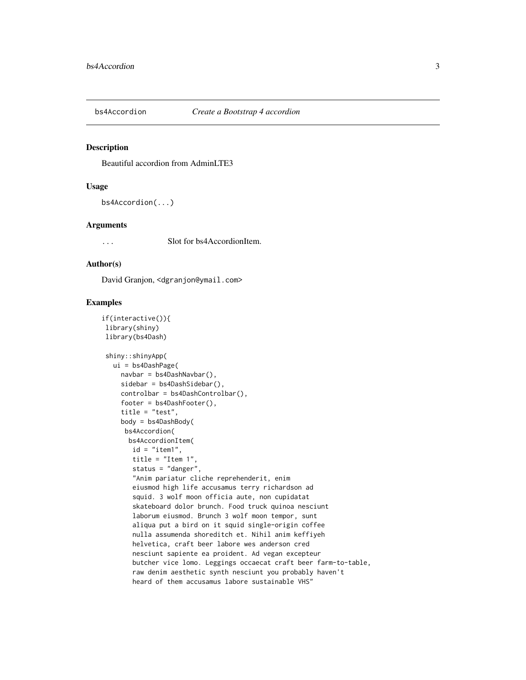<span id="page-2-0"></span>

Beautiful accordion from AdminLTE3

#### Usage

```
bs4Accordion(...)
```
#### Arguments

... Slot for bs4AccordionItem.

#### Author(s)

David Granjon, <dgranjon@ymail.com>

```
if(interactive()){
library(shiny)
library(bs4Dash)
 shiny::shinyApp(
  ui = bs4DashPage(
    navbar = bs4DashNavbar(),
    sidebar = bs4DashSidebar(),
     controlbar = bs4DashControlbar(),
     footer = bs4DashFooter(),
     title = "test",
     body = bs4DashBody(
     bs4Accordion(
      bs4AccordionItem(
       id = "item1",title = "Item 1"status = "danger",
       "Anim pariatur cliche reprehenderit, enim
       eiusmod high life accusamus terry richardson ad
       squid. 3 wolf moon officia aute, non cupidatat
       skateboard dolor brunch. Food truck quinoa nesciunt
       laborum eiusmod. Brunch 3 wolf moon tempor, sunt
       aliqua put a bird on it squid single-origin coffee
       nulla assumenda shoreditch et. Nihil anim keffiyeh
       helvetica, craft beer labore wes anderson cred
       nesciunt sapiente ea proident. Ad vegan excepteur
       butcher vice lomo. Leggings occaecat craft beer farm-to-table,
       raw denim aesthetic synth nesciunt you probably haven't
       heard of them accusamus labore sustainable VHS"
```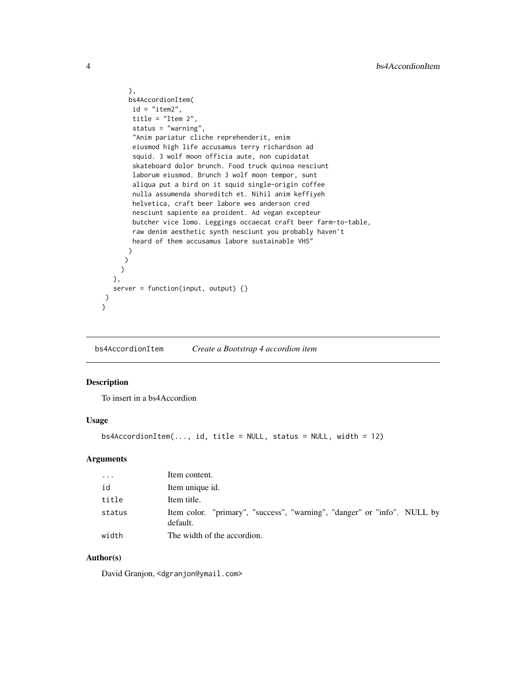```
),
      bs4AccordionItem(
       id = "item2",
       title = "Item 2",
       status = "warning",
       "Anim pariatur cliche reprehenderit, enim
       eiusmod high life accusamus terry richardson ad
       squid. 3 wolf moon officia aute, non cupidatat
       skateboard dolor brunch. Food truck quinoa nesciunt
       laborum eiusmod. Brunch 3 wolf moon tempor, sunt
       aliqua put a bird on it squid single-origin coffee
       nulla assumenda shoreditch et. Nihil anim keffiyeh
       helvetica, craft beer labore wes anderson cred
       nesciunt sapiente ea proident. Ad vegan excepteur
       butcher vice lomo. Leggings occaecat craft beer farm-to-table,
       raw denim aesthetic synth nesciunt you probably haven't
       heard of them accusamus labore sustainable VHS"
      )
     )
    )
  ),
  server = function(input, output) \{\})
}
```
bs4AccordionItem *Create a Bootstrap 4 accordion item*

### Description

To insert in a bs4Accordion

# Usage

```
bs4AccordonItem(..., id, title = NULL, status = NULL, width = 12)
```
# Arguments

| $\cdots$ | Item content.                                                                        |
|----------|--------------------------------------------------------------------------------------|
| id       | Item unique id.                                                                      |
| title    | Item title.                                                                          |
| status   | Item color. "primary", "success", "warning", "danger" or "info". NULL by<br>default. |
| width    | The width of the accordion.                                                          |

# Author(s)

<span id="page-3-0"></span>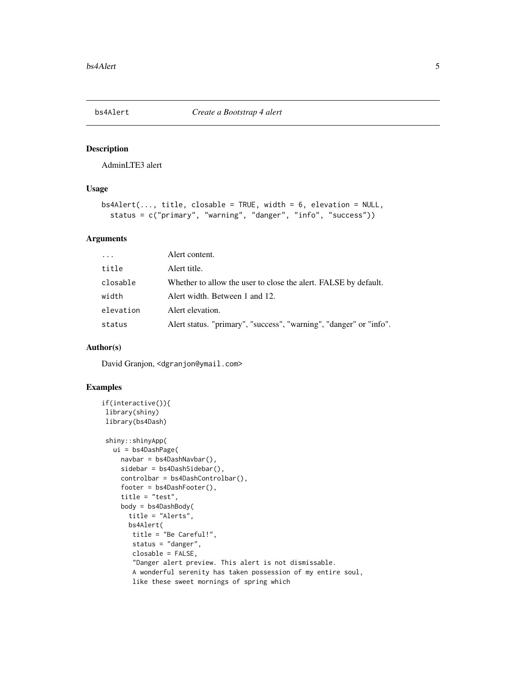<span id="page-4-0"></span>

AdminLTE3 alert

# Usage

```
bs4Alert(..., title, closable = TRUE, width = 6, elevation = NULL,status = c("primary", "warning", "danger", "info", "success"))
```
# Arguments

| $\cdot$ $\cdot$ $\cdot$ | Alert content.                                                     |
|-------------------------|--------------------------------------------------------------------|
| title                   | Alert title.                                                       |
| closable                | Whether to allow the user to close the alert. FALSE by default.    |
| width                   | Alert width. Between 1 and 12.                                     |
| elevation               | Alert elevation.                                                   |
| status                  | Alert status. "primary", "success", "warning", "danger" or "info". |

#### Author(s)

David Granjon, <dgranjon@ymail.com>

```
if(interactive()){
library(shiny)
library(bs4Dash)
shiny::shinyApp(
  ui = bs4DashPage(
    navbar = bs4DashNavbar(),
    sidebar = bs4DashSidebar(),
    controlbar = bs4DashControlbar(),
    footer = bs4DashFooter(),
    title = "test",
    body = bs4DashBody(
      title = "Alerts",
      bs4Alert(
       title = "Be Careful!",
       status = "danger",
       closable = FALSE,
       "Danger alert preview. This alert is not dismissable.
       A wonderful serenity has taken possession of my entire soul,
       like these sweet mornings of spring which
```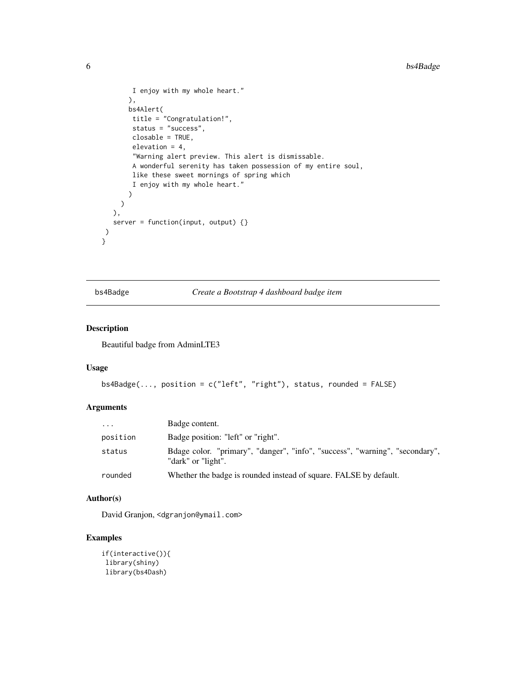```
I enjoy with my whole heart."
       ),
       bs4Alert(
        title = "Congratulation!",
        status = "success",
        closable = TRUE,
        elevation = 4,
        "Warning alert preview. This alert is dismissable.
        A wonderful serenity has taken possession of my entire soul,
        like these sweet mornings of spring which
        I enjoy with my whole heart."
       \mathcal{L})
  ),
  server = function(input, output) {}
)
}
```
bs4Badge *Create a Bootstrap 4 dashboard badge item*

#### Description

Beautiful badge from AdminLTE3

# Usage

```
bs4Badge(..., position = c("left", "right"), status, rounded = FALSE)
```
# Arguments

| $\cdots$ | Badge content.                                                                                     |
|----------|----------------------------------------------------------------------------------------------------|
| position | Badge position: "left" or "right".                                                                 |
| status   | Bdage color. "primary", "danger", "info", "success", "warning", "secondary",<br>"dark" or "light". |
| rounded  | Whether the badge is rounded instead of square. FALSE by default.                                  |

#### Author(s)

David Granjon, <dgranjon@ymail.com>

```
if(interactive()){
library(shiny)
library(bs4Dash)
```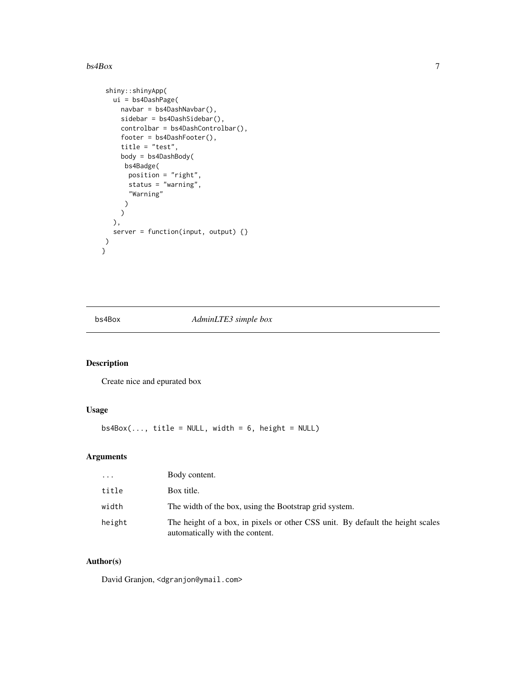#### <span id="page-6-0"></span> $b$ s4Box 7

```
shiny::shinyApp(
  ui = bs4DashPage(
    navbar = bs4DashNavbar(),
    sidebar = bs4DashSidebar(),
    controlbar = bs4DashControlbar(),
    footer = bs4DashFooter(),
    title = "test",
    body = bs4DashBody(
     bs4Badge(
      position = "right",
      status = "warning",
      "Warning"
     )
    )
  ),
  server = function(input, output) {}
)
}
```
bs4Box *AdminLTE3 simple box*

# Description

Create nice and epurated box

#### Usage

 $bs4Box(..., title = NULL, width = 6, height = NULL)$ 

# Arguments

| $\ddots$ | Body content.                                                                                                     |
|----------|-------------------------------------------------------------------------------------------------------------------|
| title    | Box title.                                                                                                        |
| width    | The width of the box, using the Bootstrap grid system.                                                            |
| height   | The height of a box, in pixels or other CSS unit. By default the height scales<br>automatically with the content. |

# Author(s)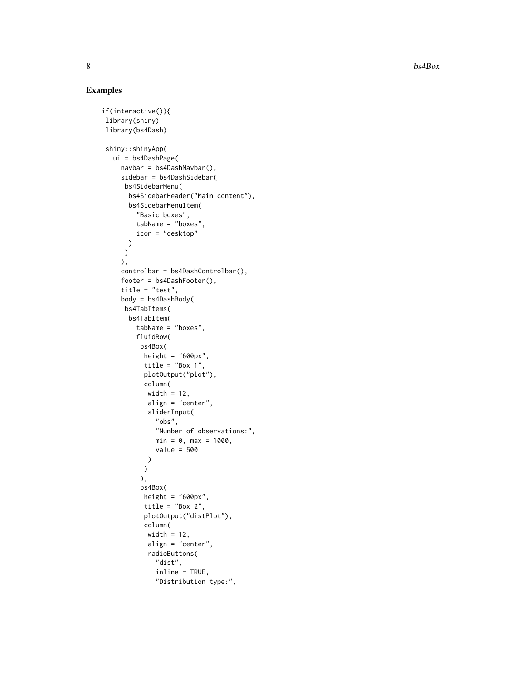8 bs4Box

```
if(interactive()){
library(shiny)
library(bs4Dash)
shiny::shinyApp(
  ui = bs4DashPage(
    navbar = bs4DashNavbar(),
     sidebar = bs4DashSidebar(
     bs4SidebarMenu(
      bs4SidebarHeader("Main content"),
      bs4SidebarMenuItem(
         "Basic boxes",
        tabName = "boxes",
        icon = "desktop"
      \lambda)
     ),
     controlbar = bs4DashControlbar(),
     footer = bs4DashFooter(),
     title = "test",
    body = bs4DashBody(
     bs4TabItems(
      bs4TabItem(
        tabName = "boxes",
        fluidRow(
         bs4Box(
          height = "600px".
          title = "Box 1",plotOutput("plot"),
          column(
           width = 12,
            align = "center",
            sliderInput(
              "obs",
              "Number of observations:",
              min = 0, max = 1000,value = 500
           )
          )
          ),
          bs4Box(
          height = "600px",
           title = "Box 2",plotOutput("distPlot"),
           column(
           width = 12,
            align = "center",
            radioButtons(
              "dist",
              inline = TRUE,
              "Distribution type:",
```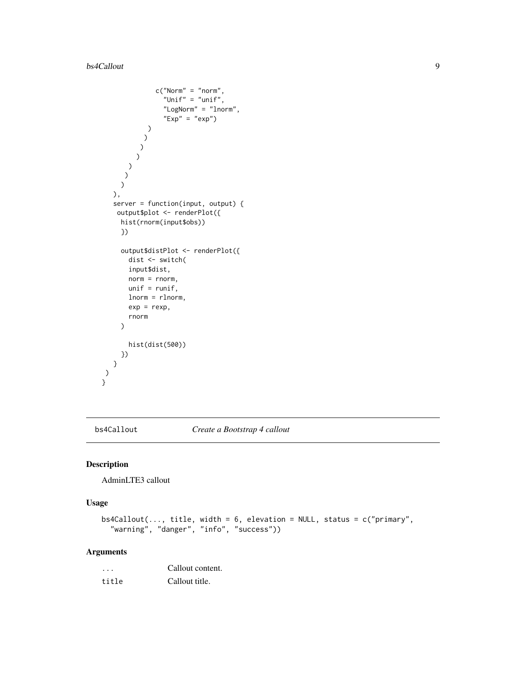```
c("Norm" = "norm","Unif" = "unif",
                "LogNorm" = "lnorm",
                "Exp" = "exp"))
           )
          )
         )
      )
     )
    \lambda),
  server = function(input, output) {
   output$plot <- renderPlot({
    hist(rnorm(input$obs))
    })
    output$distPlot <- renderPlot({
      dist <- switch(
      input$dist,
      norm = rnorm,
      unif = runif,
      lnorm = rlnorm,
      exp = rexp,
      rnorm
    )
      hist(dist(500))
    })
 }
 )
}
```
bs4Callout *Create a Bootstrap 4 callout*

#### Description

AdminLTE3 callout

#### Usage

```
bs4Callout(..., title, width = 6, elevation = NULL, status = c("primary",
  "warning", "danger", "info", "success"))
```
# Arguments

| $\cdots$ | Callout content. |
|----------|------------------|
| title    | Callout title.   |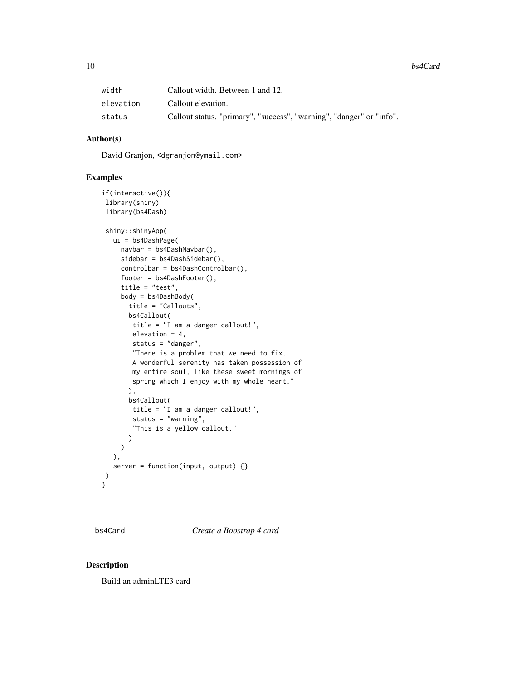<span id="page-9-0"></span>10 bs4Card

| width     | Callout width. Between 1 and 12.                                     |
|-----------|----------------------------------------------------------------------|
| elevation | Callout elevation.                                                   |
| status    | Callout status. "primary", "success", "warning", "danger" or "info". |

# Author(s)

David Granjon, <dgranjon@ymail.com>

# Examples

```
if(interactive()){
library(shiny)
library(bs4Dash)
shiny::shinyApp(
  ui = bs4DashPage(
    navbar = bs4DashNavbar(),
    sidebar = bs4DashSidebar(),
    controlbar = bs4DashControlbar(),
    footer = bs4DashFooter(),
    title = "test",
    body = bs4DashBody(
      title = "Callouts",
      bs4Callout(
       title = "I am a danger callout!",
       elevation = 4,
       status = "danger",
       "There is a problem that we need to fix.
       A wonderful serenity has taken possession of
       my entire soul, like these sweet mornings of
       spring which I enjoy with my whole heart."
      ),
      bs4Callout(
       title = "I am a danger callout!",
       status = "warning",
       "This is a yellow callout."
      )
    )
  ),
  server = function(input, output) \{\})
}
```
<span id="page-9-1"></span>bs4Card *Create a Boostrap 4 card*

# Description

Build an adminLTE3 card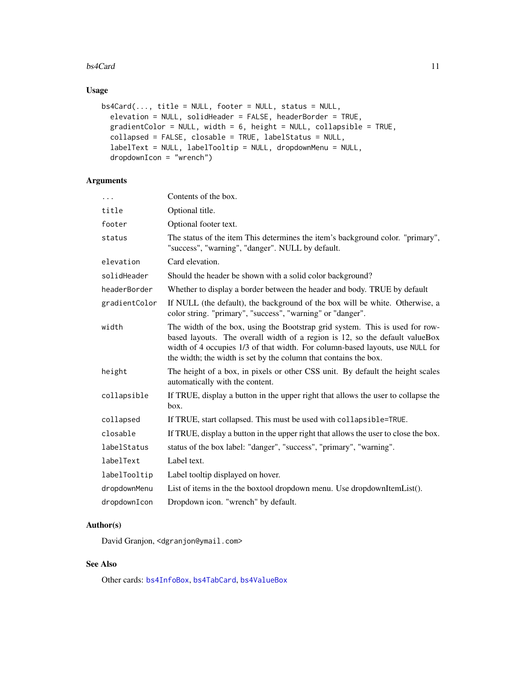#### <span id="page-10-0"></span>bs4Card 11

# Usage

```
bs4Card(..., title = NULL, footer = NULL, status = NULL,elevation = NULL, solidHeader = FALSE, headerBorder = TRUE,
  gradientColor = NULL, width = 6, height = NULL, collapsible = TRUE,
 collapsed = FALSE, closable = TRUE, labelStatus = NULL,
 labelText = NULL, labelTooltip = NULL, dropdownMenu = NULL,
 dropdownIcon = "wrench")
```
### Arguments

| .             | Contents of the box.                                                                                                                                                                                                                                                                                             |
|---------------|------------------------------------------------------------------------------------------------------------------------------------------------------------------------------------------------------------------------------------------------------------------------------------------------------------------|
| title         | Optional title.                                                                                                                                                                                                                                                                                                  |
| footer        | Optional footer text.                                                                                                                                                                                                                                                                                            |
| status        | The status of the item This determines the item's background color. "primary",<br>"success", "warning", "danger". NULL by default.                                                                                                                                                                               |
| elevation     | Card elevation.                                                                                                                                                                                                                                                                                                  |
| solidHeader   | Should the header be shown with a solid color background?                                                                                                                                                                                                                                                        |
| headerBorder  | Whether to display a border between the header and body. TRUE by default                                                                                                                                                                                                                                         |
| gradientColor | If NULL (the default), the background of the box will be white. Otherwise, a<br>color string. "primary", "success", "warning" or "danger".                                                                                                                                                                       |
| width         | The width of the box, using the Bootstrap grid system. This is used for row-<br>based layouts. The overall width of a region is 12, so the default valueBox<br>width of 4 occupies 1/3 of that width. For column-based layouts, use NULL for<br>the width; the width is set by the column that contains the box. |
| height        | The height of a box, in pixels or other CSS unit. By default the height scales<br>automatically with the content.                                                                                                                                                                                                |
| collapsible   | If TRUE, display a button in the upper right that allows the user to collapse the<br>box.                                                                                                                                                                                                                        |
| collapsed     | If TRUE, start collapsed. This must be used with collapsible=TRUE.                                                                                                                                                                                                                                               |
| closable      | If TRUE, display a button in the upper right that allows the user to close the box.                                                                                                                                                                                                                              |
| labelStatus   | status of the box label: "danger", "success", "primary", "warning".                                                                                                                                                                                                                                              |
| labelText     | Label text.                                                                                                                                                                                                                                                                                                      |
| labelTooltip  | Label tooltip displayed on hover.                                                                                                                                                                                                                                                                                |
| dropdownMenu  | List of items in the the boxtool dropdown menu. Use dropdownItemList().                                                                                                                                                                                                                                          |
| dropdownIcon  | Dropdown icon. "wrench" by default.                                                                                                                                                                                                                                                                              |

#### Author(s)

David Granjon, <dgranjon@ymail.com>

# See Also

Other cards: [bs4InfoBox](#page-20-1), [bs4TabCard](#page-30-1), [bs4ValueBox](#page-39-1)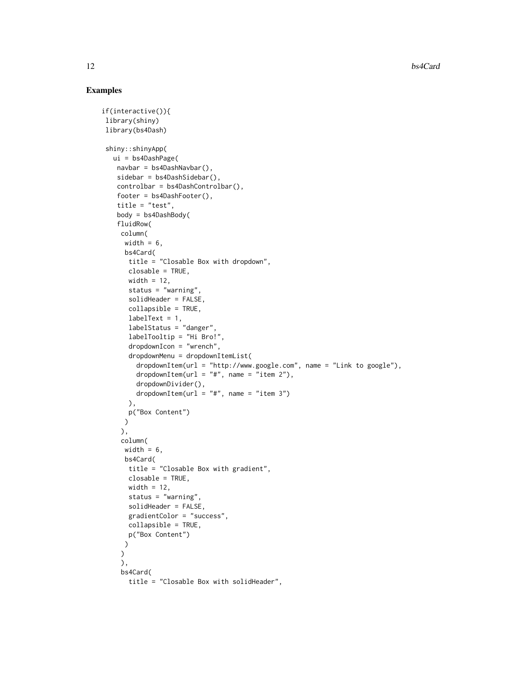```
if(interactive()){
library(shiny)
library(bs4Dash)
shiny::shinyApp(
  ui = bs4DashPage(
   navbar = bs4DashNavbar(),
   sidebar = bs4DashSidebar(),
   controlbar = bs4DashControlbar(),
   footer = bs4DashFooter(),
   title = "test",
   body = bs4DashBody(
   fluidRow(
    column(
     width = 6.
     bs4Card(
      title = "Closable Box with dropdown",
      closable = TRUE,
       width = 12,
       status = "warning",
       solidHeader = FALSE,
       collapsible = TRUE,
       labelText = 1,labelStatus = "danger",
       labelTooltip = "Hi Bro!",
       dropdownIcon = "wrench",
       dropdownMenu = dropdownItemList(
        dropdownItem(url = "http://www.google.com", name = "Link to google"),
        dropdownItem(url = "#", name = "item 2"),
        dropdownDivider(),
        dropolownItem(url = "#", name = "item 3")),
      p("Box Content")
     \lambda),
    column(
     width = 6,
     bs4Card(
      title = "Closable Box with gradient",
      closable = TRUE,
      width = 12,
      status = "warning",
       solidHeader = FALSE,
       gradientColor = "success",
      collapsible = TRUE,
      p("Box Content")
     )
    \lambda),
    bs4Card(
      title = "Closable Box with solidHeader",
```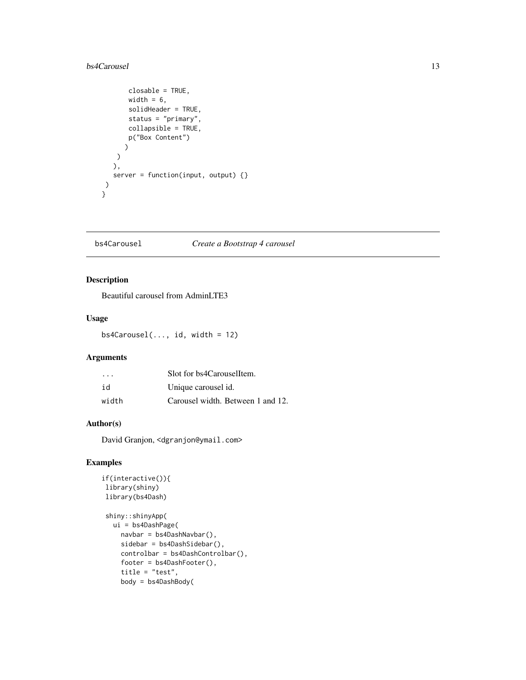# <span id="page-12-0"></span>bs4Carousel 13

```
closable = TRUE,
       width = 6,
       solidHeader = TRUE,
       status = "primary",
       collapsible = TRUE,
       p("Box Content")
      )
   )
  ),
  server = function(input, output) {}
\mathcal{L}}
```
bs4Carousel *Create a Bootstrap 4 carousel*

# Description

Beautiful carousel from AdminLTE3

# Usage

 $bs4Carousel(..., id, width = 12)$ 

#### Arguments

| $\cdots$ | Slot for bs4CarouselItem.         |
|----------|-----------------------------------|
| id       | Unique carousel id.               |
| width    | Carousel width. Between 1 and 12. |

#### Author(s)

David Granjon, <dgranjon@ymail.com>

```
if(interactive()){
library(shiny)
library(bs4Dash)
```

```
shiny::shinyApp(
 ui = bs4DashPage(
   navbar = bs4DashNavbar(),
   sidebar = bs4DashSidebar(),
   controlbar = bs4DashControlbar(),
   footer = bs4DashFooter(),
   title = "test",
   body = bs4DashBody(
```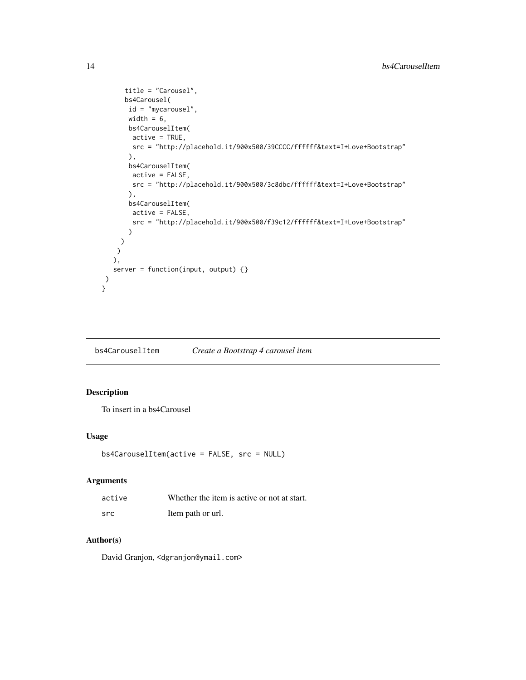```
title = "Carousel",
     bs4Carousel(
      id = "mycarousel",
      width = 6,
      bs4CarouselItem(
       active = TRUE,
       src = "http://placehold.it/900x500/39CCCC/ffffff&text=I+Love+Bootstrap"
      ),
      bs4CarouselItem(
       active = FALSE,
       src = "http://placehold.it/900x500/3c8dbc/ffffff&text=I+Love+Bootstrap"
      ),
      bs4CarouselItem(
       active = FALSE,
       src = "http://placehold.it/900x500/f39c12/ffffff&text=I+Love+Bootstrap"
      )
    )
   )
  ),
  server = function(input, output) {}
)
}
```
bs4CarouselItem *Create a Bootstrap 4 carousel item*

#### Description

To insert in a bs4Carousel

# Usage

```
bs4CarouselItem(active = FALSE, src = NULL)
```
# Arguments

| active | Whether the item is active or not at start. |
|--------|---------------------------------------------|
| src    | Item path or url.                           |

#### Author(s)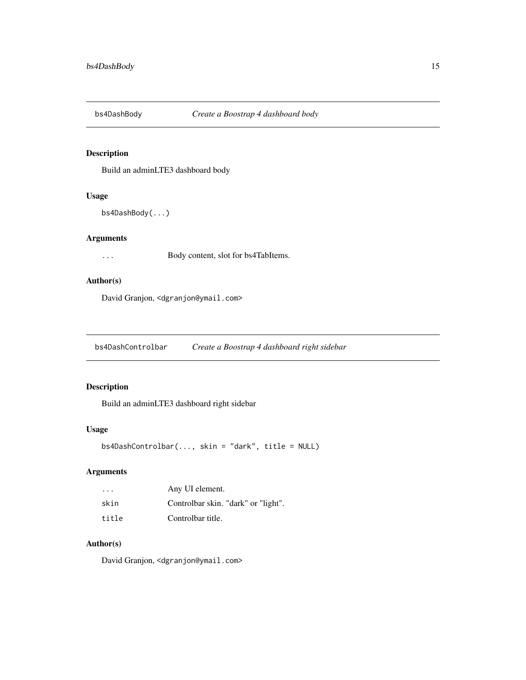<span id="page-14-0"></span>

Build an adminLTE3 dashboard body

# Usage

bs4DashBody(...)

# Arguments

... Body content, slot for bs4TabItems.

# Author(s)

David Granjon, <dgranjon@ymail.com>

bs4DashControlbar *Create a Boostrap 4 dashboard right sidebar*

# Description

Build an adminLTE3 dashboard right sidebar

# Usage

bs4DashControlbar(..., skin = "dark", title = NULL)

# Arguments

| $\cdot$ $\cdot$ $\cdot$ | Any UI element.                     |
|-------------------------|-------------------------------------|
| skin                    | Controlbar skin. "dark" or "light". |
| title                   | Controlbar title.                   |

# Author(s)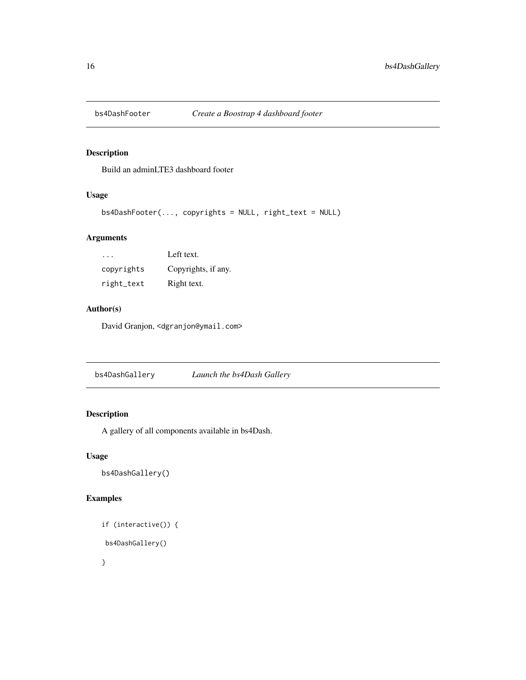<span id="page-15-0"></span>

Build an adminLTE3 dashboard footer

# Usage

```
bs4DashFooter(..., copyrights = NULL, right_text = NULL)
```
# Arguments

| .          | Left text.          |
|------------|---------------------|
| copyrights | Copyrights, if any. |
| right_text | Right text.         |

#### Author(s)

David Granjon, <dgranjon@ymail.com>

bs4DashGallery *Launch the bs4Dash Gallery*

# Description

A gallery of all components available in bs4Dash.

# Usage

bs4DashGallery()

```
if (interactive()) {
bs4DashGallery()
}
```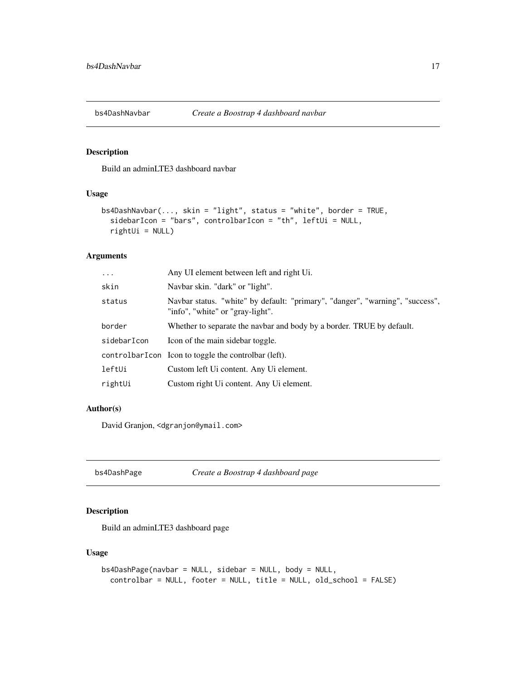<span id="page-16-0"></span>

Build an adminLTE3 dashboard navbar

# Usage

```
bs4DashNavbar(..., skin = "light", status = "white", border = TRUE,
  sidebarIcon = "bars", controlbarIcon = "th", leftUi = NULL,
  rightUi = NULL)
```
# Arguments

| $\cdots$    | Any UI element between left and right Ui.                                                                         |
|-------------|-------------------------------------------------------------------------------------------------------------------|
| skin        | Navbar skin. "dark" or "light".                                                                                   |
| status      | Navbar status. "white" by default: "primary", "danger", "warning", "success",<br>"info", "white" or "gray-light". |
| border      | Whether to separate the navbar and body by a border. TRUE by default.                                             |
| sidebarIcon | Icon of the main sidebar toggle.                                                                                  |
|             | controlbarIcon Icon to toggle the controlbar (left).                                                              |
| leftUi      | Custom left Ui content. Any Ui element.                                                                           |
| rightUi     | Custom right Ui content. Any Ui element.                                                                          |

# Author(s)

David Granjon, <dgranjon@ymail.com>

bs4DashPage *Create a Boostrap 4 dashboard page*

# Description

Build an adminLTE3 dashboard page

## Usage

```
bs4DashPage(navbar = NULL, sidebar = NULL, body = NULL,
  controlbar = NULL, footer = NULL, title = NULL, old_school = FALSE)
```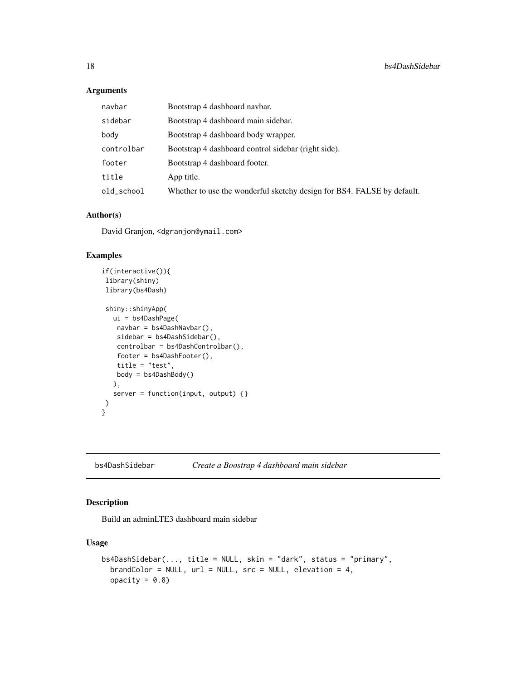# Arguments

| navbar     | Bootstrap 4 dashboard navbar.                                          |
|------------|------------------------------------------------------------------------|
| sidebar    | Bootstrap 4 dashboard main sidebar.                                    |
| body       | Bootstrap 4 dashboard body wrapper.                                    |
| controlbar | Bootstrap 4 dashboard control sidebar (right side).                    |
| footer     | Bootstrap 4 dashboard footer.                                          |
| title      | App title.                                                             |
| old_school | Whether to use the wonderful sketchy design for BS4. FALSE by default. |

#### Author(s)

David Granjon, <dgranjon@ymail.com>

# Examples

```
if(interactive()){
library(shiny)
library(bs4Dash)
shiny::shinyApp(
  ui = bs4DashPage(
   navbar = bs4DashNavbar(),
   sidebar = bs4DashSidebar(),
   controlbar = bs4DashControlbar(),
   footer = bs4DashFooter(),
   title = "test",
   body = bs4DashBody()
  ),
  server = function(input, output) {}
)
}
```

| bs4DashSidebar |  | Create a Boostrap 4 dashboard main sidebar |
|----------------|--|--------------------------------------------|
|----------------|--|--------------------------------------------|

# Description

Build an adminLTE3 dashboard main sidebar

# Usage

```
bs4DashSidebar(..., title = NULL, skin = "dark", status = "primary",
 brandColor = NULL, url = NULL, src = NULL, elevation = 4,
  opacity = 0.8)
```
<span id="page-17-0"></span>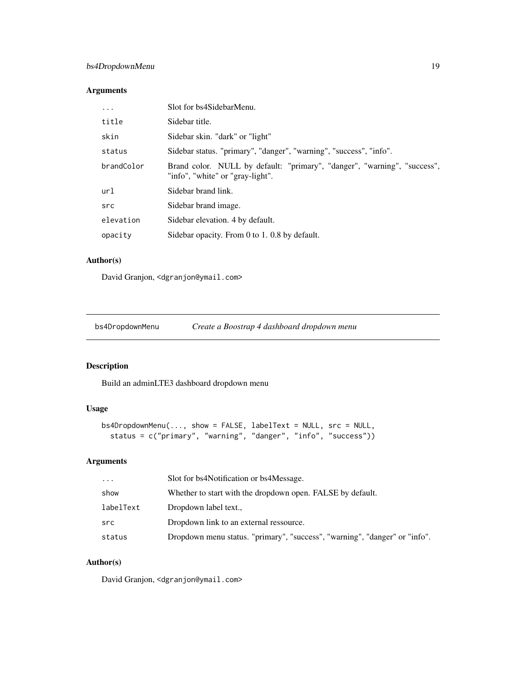# <span id="page-18-0"></span>bs4DropdownMenu 19

# Arguments

| $\ddots$   | Slot for bs4SidebarMenu.                                                                                     |
|------------|--------------------------------------------------------------------------------------------------------------|
| title      | Sidebar title.                                                                                               |
| skin       | Sidebar skin. "dark" or "light"                                                                              |
| status     | Sidebar status. "primary", "danger", "warning", "success", "info".                                           |
| brandColor | Brand color. NULL by default: "primary", "danger", "warning", "success",<br>"info", "white" or "gray-light". |
| url        | Sidebar brand link.                                                                                          |
| src        | Sidebar brand image.                                                                                         |
| elevation  | Sidebar elevation. 4 by default.                                                                             |
| opacity    | Sidebar opacity. From 0 to 1, 0.8 by default.                                                                |

# Author(s)

David Granjon, <dgranjon@ymail.com>

bs4DropdownMenu *Create a Boostrap 4 dashboard dropdown menu*

# Description

Build an adminLTE3 dashboard dropdown menu

# Usage

```
bs4DropdownMenu(..., show = FALSE, labelText = NULL, src = NULL,
 status = c("primary", "warning", "danger", "info", "success"))
```
# Arguments

| $\cdot$ $\cdot$ $\cdot$ | Slot for bs4Notification or bs4Message.                                    |
|-------------------------|----------------------------------------------------------------------------|
| show                    | Whether to start with the dropdown open. FALSE by default.                 |
| labelText               | Dropdown label text.,                                                      |
| src                     | Dropdown link to an external ressource.                                    |
| status                  | Dropdown menu status. "primary", "success", "warning", "danger" or "info". |

#### Author(s)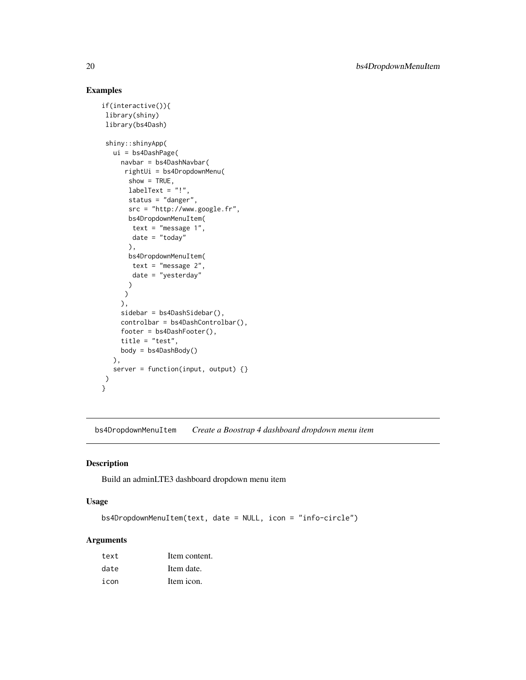# Examples

```
if(interactive()){
library(shiny)
library(bs4Dash)
shiny::shinyApp(
  ui = bs4DashPage(
    navbar = bs4DashNavbar(
     rightUi = bs4DropdownMenu(
      show = TRUE,
      labelText = "!",
      status = "danger",
      src = "http://www.google.fr",
      bs4DropdownMenuItem(
       text = "message 1",
       date = "today"
      ),
      bs4DropdownMenuItem(
       text = "message 2",
       date = "yesterday"
      )
     )
    ),
    sidebar = bs4DashSidebar(),
    controlbar = bs4DashControlbar(),
    footer = bs4DashFooter(),
    title = "test",
    body = bs4DashBody()
  ),
  server = function(input, output) {}
)
}
```
bs4DropdownMenuItem *Create a Boostrap 4 dashboard dropdown menu item*

# Description

Build an adminLTE3 dashboard dropdown menu item

#### Usage

```
bs4DropdownMenuItem(text, date = NULL, icon = "info-circle")
```
#### Arguments

| text | Item content. |
|------|---------------|
| date | Item date.    |
| icon | Item icon.    |

<span id="page-19-0"></span>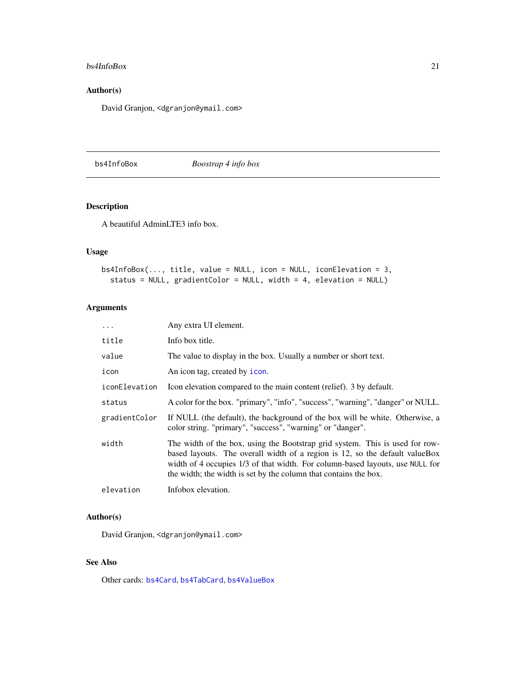#### <span id="page-20-0"></span> $b$ s4InfoBox 21

# Author(s)

David Granjon, <dgranjon@ymail.com>

<span id="page-20-1"></span>bs4InfoBox *Boostrap 4 info box*

# Description

A beautiful AdminLTE3 info box.

#### Usage

```
bs4InfoBox(..., title, value = NULL, icon = NULL, iconElevation = 3,
  status = NULL, gradientColor = NULL, width = 4, elevation = NULL)
```
# Arguments

| $\ddots$      | Any extra UI element.                                                                                                                                                                                                                                                                                            |
|---------------|------------------------------------------------------------------------------------------------------------------------------------------------------------------------------------------------------------------------------------------------------------------------------------------------------------------|
| title         | Info box title.                                                                                                                                                                                                                                                                                                  |
| value         | The value to display in the box. Usually a number or short text.                                                                                                                                                                                                                                                 |
| icon          | An icon tag, created by icon.                                                                                                                                                                                                                                                                                    |
| iconElevation | Icon elevation compared to the main content (relief). 3 by default.                                                                                                                                                                                                                                              |
| status        | A color for the box. "primary", "info", "success", "warning", "danger" or NULL.                                                                                                                                                                                                                                  |
| gradientColor | If NULL (the default), the background of the box will be white. Otherwise, a<br>color string. "primary", "success", "warning" or "danger".                                                                                                                                                                       |
| width         | The width of the box, using the Bootstrap grid system. This is used for row-<br>based layouts. The overall width of a region is 12, so the default valueBox<br>width of 4 occupies 1/3 of that width. For column-based layouts, use NULL for<br>the width; the width is set by the column that contains the box. |
| elevation     | Infobox elevation.                                                                                                                                                                                                                                                                                               |

#### Author(s)

David Granjon, <dgranjon@ymail.com>

#### See Also

Other cards: [bs4Card](#page-9-1), [bs4TabCard](#page-30-1), [bs4ValueBox](#page-39-1)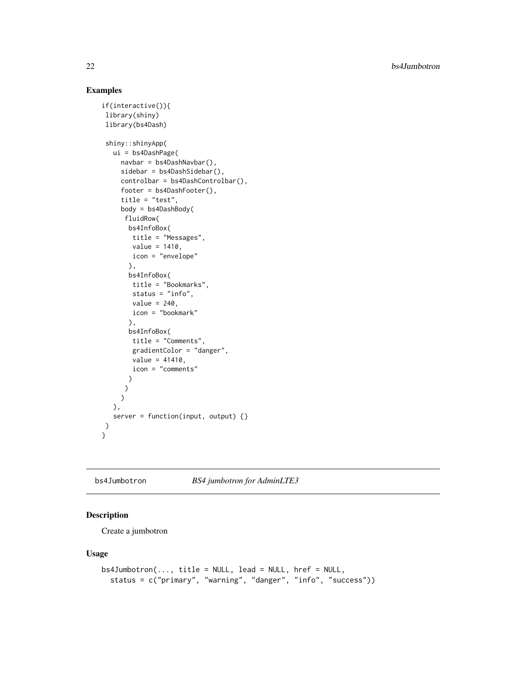# Examples

```
if(interactive()){
library(shiny)
library(bs4Dash)
shiny::shinyApp(
  ui = bs4DashPage(
    navbar = bs4DashNavbar(),
    sidebar = bs4DashSidebar(),
    controlbar = bs4DashControlbar(),
    footer = bs4DashFooter(),
    title = "test",
    body = bs4DashBody(
     fluidRow(
      bs4InfoBox(
       title = "Messages",
       value = 1410,
       icon = "envelope"
      ),
      bs4InfoBox(
       title = "Bookmarks",
       status = "info",
       value = 240,
       icon = "bookmark"
      ),
      bs4InfoBox(
       title = "Comments",
       gradientColor = "danger",
       value = 41410,icon = "comments"
      )
     )
    )
  ),
  server = function(input, output) {}
)
}
```
# bs4Jumbotron *BS4 jumbotron for AdminLTE3*

# Description

Create a jumbotron

# Usage

```
bs4Jumbotron(..., title = NULL, lead = NULL, href = NULL,
  status = c("primary", "warning", "danger", "info", "success"))
```
<span id="page-21-0"></span>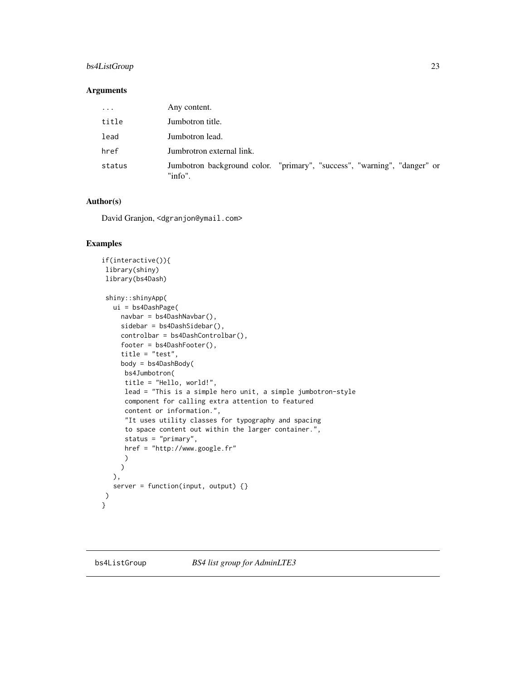# <span id="page-22-0"></span>bs4ListGroup 23

#### Arguments

| $\cdots$ | Any content.                                                                        |
|----------|-------------------------------------------------------------------------------------|
| title    | Jumbotron title.                                                                    |
| lead     | Jumbotron lead.                                                                     |
| href     | Jumbrotron external link.                                                           |
| status   | Jumbotron background color. "primary", "success", "warning", "danger" or<br>"info". |

#### Author(s)

David Granjon, <dgranjon@ymail.com>

```
if(interactive()){
library(shiny)
library(bs4Dash)
shiny::shinyApp(
  ui = bs4DashPage(
    navbar = bs4DashNavbar(),
    sidebar = bs4DashSidebar(),
    controlbar = bs4DashControlbar(),
    footer = bs4DashFooter(),
    title = "test",
    body = bs4DashBody(
     bs4Jumbotron(
     title = "Hello, world!",
     lead = "This is a simple hero unit, a simple jumbotron-style
     component for calling extra attention to featured
     content or information.",
     "It uses utility classes for typography and spacing
     to space content out within the larger container.",
     status = "primary",
     href = "http://www.google.fr"
     )
    )
  ),
  server = function(input, output) {}
)
}
```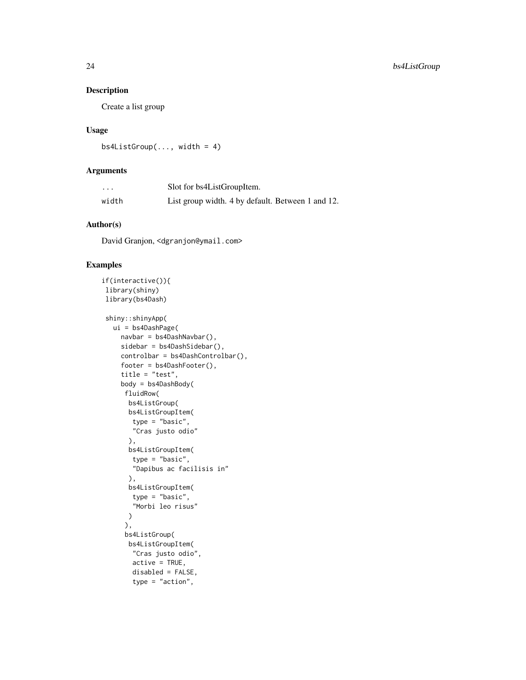Create a list group

# Usage

 $bs4ListGroup(\ldots, width = 4)$ 

# Arguments

| .     | Slot for bs4ListGroupItem.                        |
|-------|---------------------------------------------------|
| width | List group width. 4 by default. Between 1 and 12. |

# Author(s)

David Granjon, <dgranjon@ymail.com>

```
if(interactive()){
library(shiny)
library(bs4Dash)
shiny::shinyApp(
  ui = bs4DashPage(
    navbar = bs4DashNavbar(),
    sidebar = bs4DashSidebar(),
    controlbar = bs4DashControlbar(),
    footer = bs4DashFooter(),
    title = "test",
    body = bs4DashBody(
     fluidRow(
      bs4ListGroup(
      bs4ListGroupItem(
       type = "basic",
       "Cras justo odio"
       ),
       bs4ListGroupItem(
       type = "basic",
       "Dapibus ac facilisis in"
       ),
       bs4ListGroupItem(
       type = "basic",
        "Morbi leo risus"
      \lambda),
     bs4ListGroup(
      bs4ListGroupItem(
       "Cras justo odio",
       active = TRUE,
       disabled = FALSE,
       type = "action",
```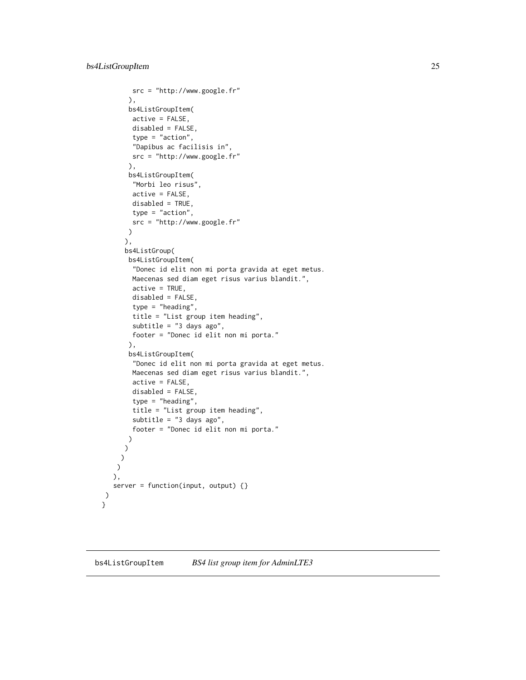}

```
src = "http://www.google.fr"
      ),
      bs4ListGroupItem(
       active = FALSE,
       disabled = FALSE,
       type = "action",
       "Dapibus ac facilisis in",
      src = "http://www.google.fr"
      ),
      bs4ListGroupItem(
       "Morbi leo risus",
       active = FALSE,
      disabled = TRUE,
      type = "action",
      src = "http://www.google.fr"
      )
     ),
     bs4ListGroup(
      bs4ListGroupItem(
      "Donec id elit non mi porta gravida at eget metus.
      Maecenas sed diam eget risus varius blandit.",
       active = TRUE,disabled = FALSE,
       type = "heading",
       title = "List group item heading",
       subtitle = "3 days ago",
       footer = "Donec id elit non mi porta."
      ),
      bs4ListGroupItem(
       "Donec id elit non mi porta gravida at eget metus.
       Maecenas sed diam eget risus varius blandit.",
       active = FALSE,
       disabled = FALSE,
       type = "heading",
       title = "List group item heading",
       subtitle = "3 days ago",
       footer = "Donec id elit non mi porta."
      )
     )
    )
   )
  ),
  server = function(input, output) {}
)
```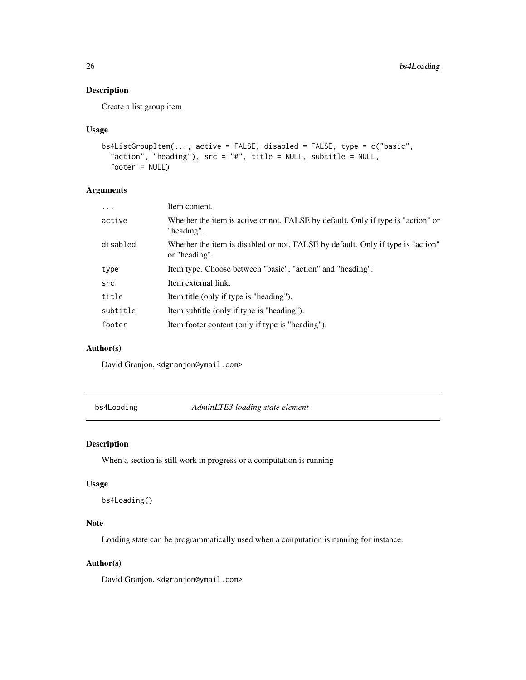Create a list group item

### Usage

```
bs4ListGroupItem(..., active = FALSE, disabled = FALSE, type = c("basic",
  "action", "heading"), src = "#", title = NULL, subtitle = NULL,footer = NULL)
```
# Arguments

| $\cdots$ | Item content.                                                                                    |
|----------|--------------------------------------------------------------------------------------------------|
| active   | Whether the item is active or not. FALSE by default. Only if type is "action" or<br>"heading".   |
| disabled | Whether the item is disabled or not. FALSE by default. Only if type is "action"<br>or "heading". |
| type     | Item type. Choose between "basic", "action" and "heading".                                       |
| src      | Item external link.                                                                              |
| title    | Item title (only if type is "heading").                                                          |
| subtitle | Item subtitle (only if type is "heading").                                                       |
| footer   | Item footer content (only if type is "heading").                                                 |
|          |                                                                                                  |

# Author(s)

David Granjon, <dgranjon@ymail.com>

bs4Loading *AdminLTE3 loading state element*

#### Description

When a section is still work in progress or a computation is running

#### Usage

```
bs4Loading()
```
# Note

Loading state can be programmatically used when a conputation is running for instance.

### Author(s)

<span id="page-25-0"></span>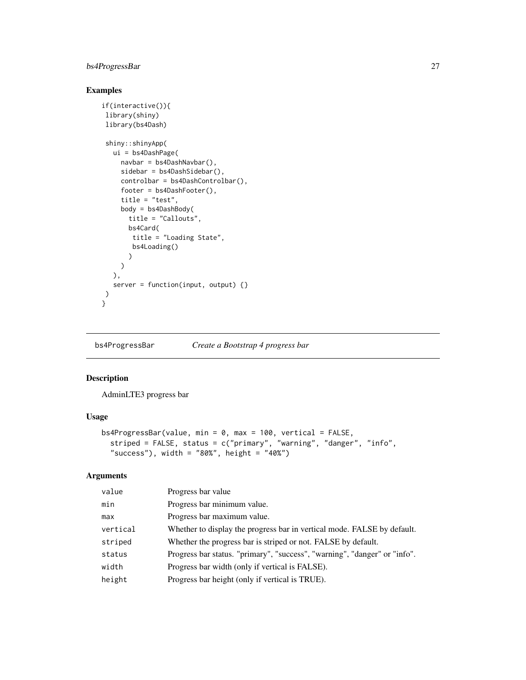# <span id="page-26-0"></span>bs4ProgressBar 27

# Examples

```
if(interactive()){
library(shiny)
library(bs4Dash)
shiny::shinyApp(
  ui = bs4DashPage(
    navbar = bs4DashNavbar(),
    sidebar = bs4DashSidebar(),
    controlbar = bs4DashControlbar(),
    footer = bs4DashFooter(),
    title = "test",
    body = bs4DashBody(
      title = "Callouts",
      bs4Card(
       title = "Loading State",
       bs4Loading()
       \lambda)
  ),
  server = function(input, output) {}
)
}
```
bs4ProgressBar *Create a Bootstrap 4 progress bar*

# Description

AdminLTE3 progress bar

# Usage

```
bs4ProgressBar(value, min = 0, max = 100, vertical = FALSE,
  striped = FALSE, status = c("primary", "warning", "danger", "info",
  "success"), width = "80%", height = "40%")
```
#### Arguments

| Progress bar value                                                        |
|---------------------------------------------------------------------------|
| Progress bar minimum value.                                               |
| Progress bar maximum value.                                               |
| Whether to display the progress bar in vertical mode. FALSE by default.   |
| Whether the progress bar is striped or not. FALSE by default.             |
| Progress bar status. "primary", "success", "warning", "danger" or "info". |
| Progress bar width (only if vertical is FALSE).                           |
| Progress bar height (only if vertical is TRUE).                           |
|                                                                           |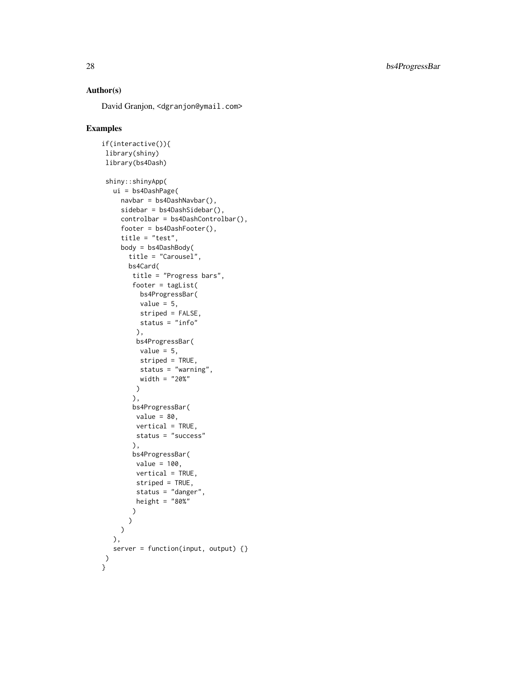# Author(s)

David Granjon, <dgranjon@ymail.com>

```
if(interactive()){
library(shiny)
library(bs4Dash)
shiny::shinyApp(
  ui = bs4DashPage(
    navbar = bs4DashNavbar(),
    sidebar = bs4DashSidebar(),
    controlbar = bs4DashControlbar(),
    footer = bs4DashFooter(),
    title = "test",
    body = bs4DashBody(
      title = "Carousel",
      bs4Card(
       title = "Progress bars",
       footer = tagList(
         bs4ProgressBar(
         value = 5,
         striped = FALSE,
         status = "info"
        ),
        bs4ProgressBar(
         value = 5,
         striped = TRUE,
         status = "warning",
         width = "20%"
        )
        ),
       bs4ProgressBar(
        value = 80,
        vertical = TRUE,
        status = "success"
       ),
       bs4ProgressBar(
        value = 100,
        vertical = TRUE,
        striped = TRUE,
        status = "danger",
        height = "80%"
       )
      )
    \lambda),
  server = function(input, output) {}
)
}
```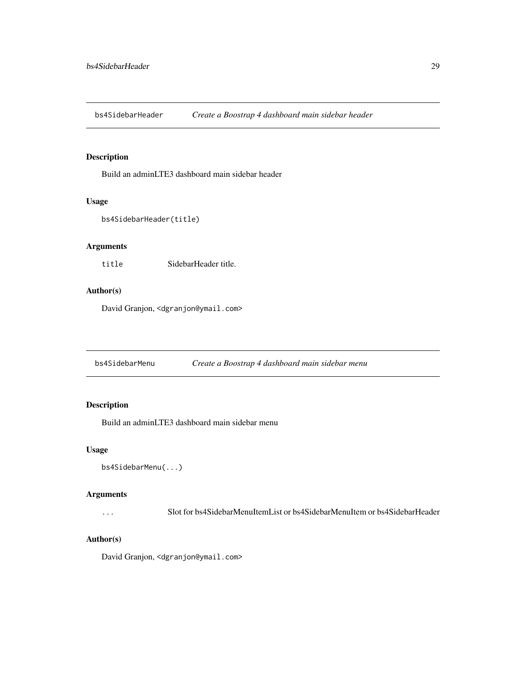<span id="page-28-0"></span>bs4SidebarHeader *Create a Boostrap 4 dashboard main sidebar header*

#### Description

Build an adminLTE3 dashboard main sidebar header

#### Usage

```
bs4SidebarHeader(title)
```
# Arguments

title SidebarHeader title.

#### Author(s)

David Granjon, <dgranjon@ymail.com>

bs4SidebarMenu *Create a Boostrap 4 dashboard main sidebar menu*

# Description

Build an adminLTE3 dashboard main sidebar menu

#### Usage

```
bs4SidebarMenu(...)
```
#### Arguments

... Slot for bs4SidebarMenuItemList or bs4SidebarMenuItem or bs4SidebarHeader

#### Author(s)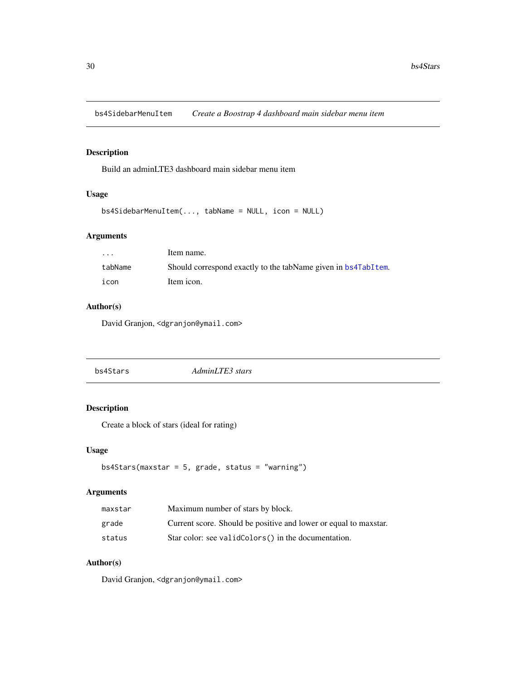<span id="page-29-1"></span><span id="page-29-0"></span>bs4SidebarMenuItem *Create a Boostrap 4 dashboard main sidebar menu item*

# Description

Build an adminLTE3 dashboard main sidebar menu item

#### Usage

```
bs4SidebarMenuItem(..., tabName = NULL, icon = NULL)
```
# Arguments

| $\cdot$ | Item name.                                                    |
|---------|---------------------------------------------------------------|
| tabName | Should correspond exactly to the tabName given in bs4TabItem. |
| icon    | Item icon.                                                    |

# Author(s)

David Granjon, <dgranjon@ymail.com>

|--|--|--|--|

# Description

Create a block of stars (ideal for rating)

#### Usage

```
bs4Stars(maxstar = 5, grade, status = "warning")
```
# Arguments

| maxstar | Maximum number of stars by block.                                |
|---------|------------------------------------------------------------------|
| grade   | Current score. Should be positive and lower or equal to maxstar. |
| status  | Star color: see validColors() in the documentation.              |

# Author(s)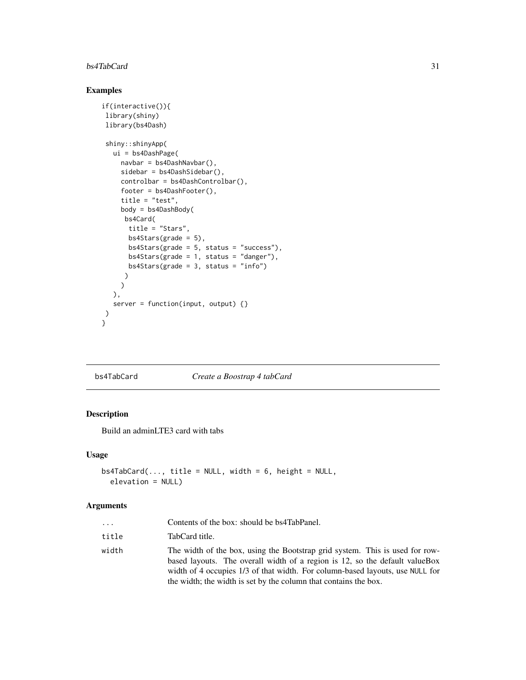#### <span id="page-30-0"></span>bs4TabCard 31

# Examples

```
if(interactive()){
library(shiny)
library(bs4Dash)
shiny::shinyApp(
  ui = bs4DashPage(
    navbar = bs4DashNavbar(),
    sidebar = bs4DashSidebar(),
    controlbar = bs4DashControlbar(),
    footer = bs4DashFooter(),
    title = "test",
    body = bs4DashBody(
     bs4Card(
      title = "Stars",
      bs4Stars(grade = 5),
      bs4Stars(grade = 5, status = "success"),
      bs4Stars(grade = 1, status = "danger"),
      bs4Stars(grade = 3, status = "info")
      )
     \mathcal{L}),
  server = function(input, output) {}
)
}
```
#### <span id="page-30-1"></span>bs4TabCard *Create a Boostrap 4 tabCard*

#### Description

Build an adminLTE3 card with tabs

#### Usage

```
bs4TabCard(..., title = NULL, width = 6, height = NULL,elevation = NULL)
```
#### Arguments

| $\cdots$ | Contents of the box: should be bs4TabPanel.                                                                                                                                                                                                                                                                      |
|----------|------------------------------------------------------------------------------------------------------------------------------------------------------------------------------------------------------------------------------------------------------------------------------------------------------------------|
| title    | TabCard title.                                                                                                                                                                                                                                                                                                   |
| width    | The width of the box, using the Bootstrap grid system. This is used for row-<br>based layouts. The overall width of a region is 12, so the default valueBox<br>width of 4 occupies 1/3 of that width. For column-based layouts, use NULL for<br>the width; the width is set by the column that contains the box. |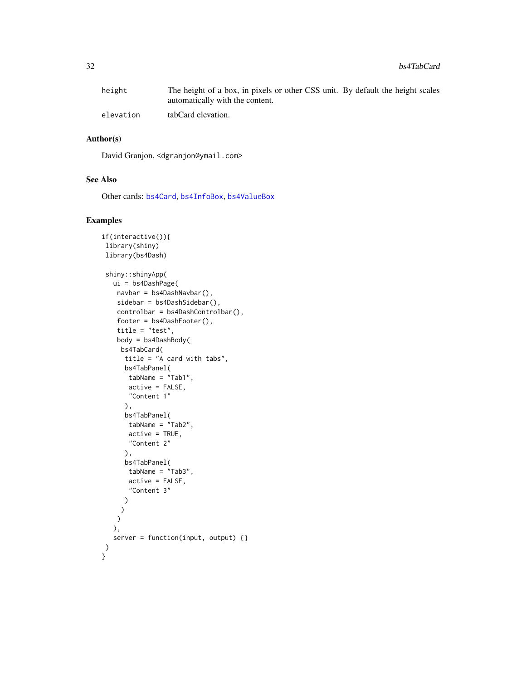<span id="page-31-0"></span>

| height    | The height of a box, in pixels or other CSS unit. By default the height scales<br>automatically with the content. |
|-----------|-------------------------------------------------------------------------------------------------------------------|
| elevation | tabCard elevation.                                                                                                |

# Author(s)

David Granjon, <dgranjon@ymail.com>

#### See Also

Other cards: [bs4Card](#page-9-1), [bs4InfoBox](#page-20-1), [bs4ValueBox](#page-39-1)

```
if(interactive()){
library(shiny)
library(bs4Dash)
shiny::shinyApp(
  ui = bs4DashPage(
   navbar = bs4DashNavbar(),
   sidebar = bs4DashSidebar(),
   controlbar = bs4DashControlbar(),
   footer = bs4DashFooter(),
   title = "test",
   body = bs4DashBody(
    bs4TabCard(
     title = "A card with tabs",
     bs4TabPanel(
     tabName = "Tab1",
      active = FALSE,
      "Content 1"
     ),
     bs4TabPanel(
      tabName = "Tab2",
       active = TRUE,
       "Content 2"
     ),
     bs4TabPanel(
      tabName = "Tab3",
       active = FALSE,
      "Content 3"
     )
    )
   )
  ),
  server = function(input, output) {}
\lambda}
```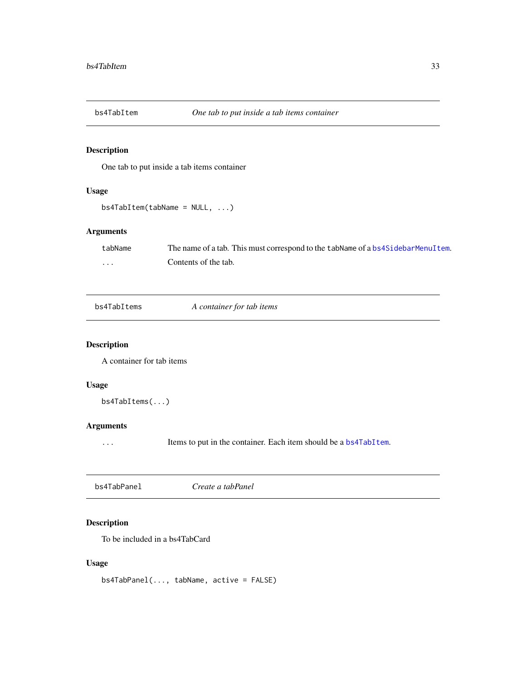<span id="page-32-1"></span><span id="page-32-0"></span>

One tab to put inside a tab items container

# Usage

```
bs4TabItem(tabName = NULL, ...)
```
# Arguments

| tabName | The name of a tab. This must correspond to the tabName of a bs4SidebarMenuItem. |
|---------|---------------------------------------------------------------------------------|
| .       | Contents of the tab.                                                            |

|  | A container for tab items | bs4TabItems |
|--|---------------------------|-------------|
|--|---------------------------|-------------|

# Description

A container for tab items

# Usage

```
bs4TabItems(...)
```
# Arguments

... Items to put in the container. Each item should be a [bs4TabItem](#page-32-1).

| Create a tabPanel |
|-------------------|
|                   |

# Description

To be included in a bs4TabCard

### Usage

bs4TabPanel(..., tabName, active = FALSE)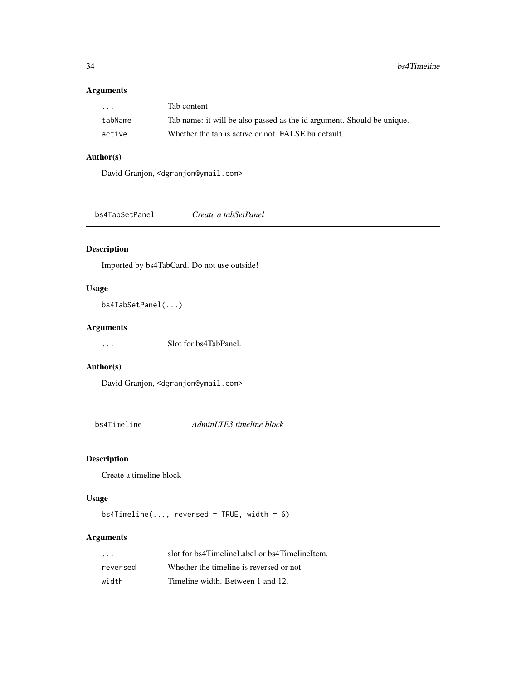# <span id="page-33-0"></span>Arguments

| $\cdot$ | Tab content                                                            |
|---------|------------------------------------------------------------------------|
| tabName | Tab name: it will be also passed as the id argument. Should be unique. |
| active  | Whether the tab is active or not. FALSE bu default.                    |

# Author(s)

David Granjon, <dgranjon@ymail.com>

| bs4TabSetPanel | Create a tabSetPanel |  |
|----------------|----------------------|--|
|                |                      |  |

# Description

Imported by bs4TabCard. Do not use outside!

# Usage

bs4TabSetPanel(...)

# Arguments

... Slot for bs4TabPanel.

# Author(s)

David Granjon, <dgranjon@ymail.com>

bs4Timeline *AdminLTE3 timeline block*

# Description

Create a timeline block

# Usage

bs4Timeline(..., reversed = TRUE, width =  $6$ )

# Arguments

| $\cdot$  | slot for bs4TimelineLabel or bs4TimelineItem. |
|----------|-----------------------------------------------|
| reversed | Whether the timeline is reversed or not.      |
| width    | Timeline width. Between 1 and 12.             |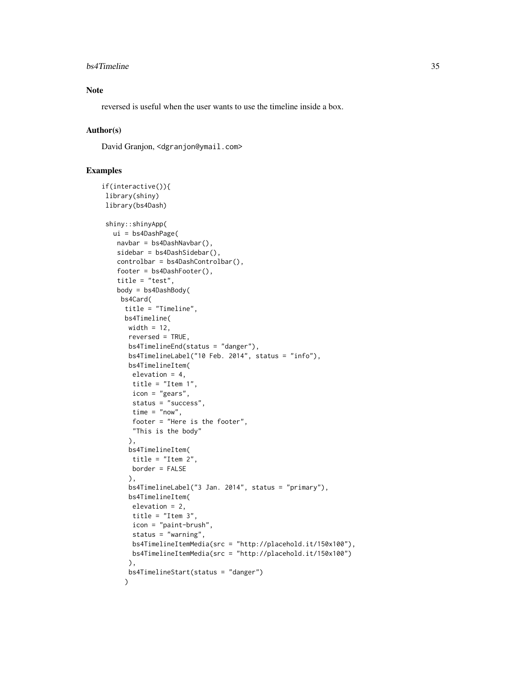#### bs4Timeline 35

# Note

reversed is useful when the user wants to use the timeline inside a box.

# Author(s)

David Granjon, <dgranjon@ymail.com>

```
if(interactive()){
library(shiny)
library(bs4Dash)
shiny::shinyApp(
  ui = bs4DashPage(
   navbar = bs4DashNavbar(),
   sidebar = bs4DashSidebar(),
   controlbar = bs4DashControlbar(),
   footer = bs4DashFooter(),
   title = "test",
   body = bs4DashBody(
    bs4Card(
     title = "Timeline",
     bs4Timeline(
      width = 12,
      reversed = TRUE,
      bs4TimelineEnd(status = "danger"),
      bs4TimelineLabel("10 Feb. 2014", status = "info"),
      bs4TimelineItem(
       elevation = 4,
       title = "Item 1",
       icon = "gears",
       status = "success",
       time = "now",footer = "Here is the footer",
       "This is the body"
      ),
      bs4TimelineItem(
       title = "Item 2",
       border = FALSE
      ),
      bs4TimelineLabel("3 Jan. 2014", status = "primary"),
      bs4TimelineItem(
       elevation = 2,
       title = "Item 3",
       icon = "paint-brush",
       status = "warning",
       bs4TimelineItemMedia(src = "http://placehold.it/150x100"),
       bs4TimelineItemMedia(src = "http://placehold.it/150x100")
      ),
      bs4TimelineStart(status = "danger")
     )
```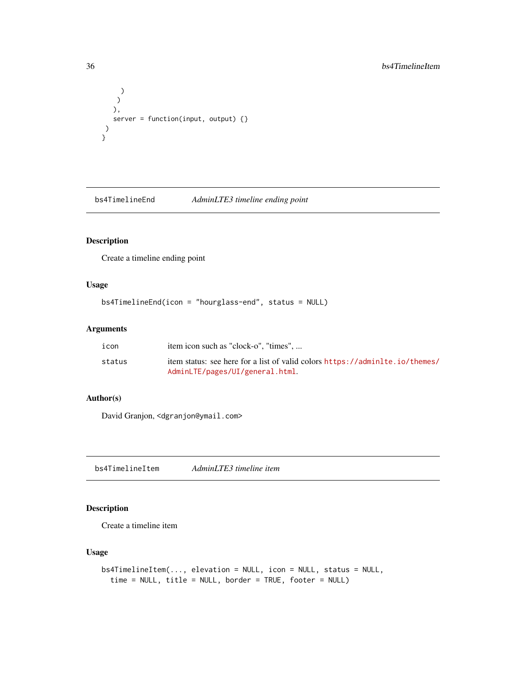```
)
    )
   ),
   server = function(input, output) {}
)
}<sup>1</sup>
```
bs4TimelineEnd *AdminLTE3 timeline ending point*

# Description

Create a timeline ending point

# Usage

```
bs4TimelineEnd(icon = "hourglass-end", status = NULL)
```
# Arguments

| 1 CON  | item icon such as "clock-o", "times",                                        |
|--------|------------------------------------------------------------------------------|
| status | item status: see here for a list of valid colors https://adminlte.io/themes/ |
|        | AdminLTE/pages/UI/general.html.                                              |

#### Author(s)

David Granjon, <dgranjon@ymail.com>

bs4TimelineItem *AdminLTE3 timeline item*

# Description

Create a timeline item

# Usage

```
bs4TimelineItem(..., elevation = NULL, icon = NULL, status = NULL,
  time = NULL, title = NULL, border = TRUE, footer = NULL)
```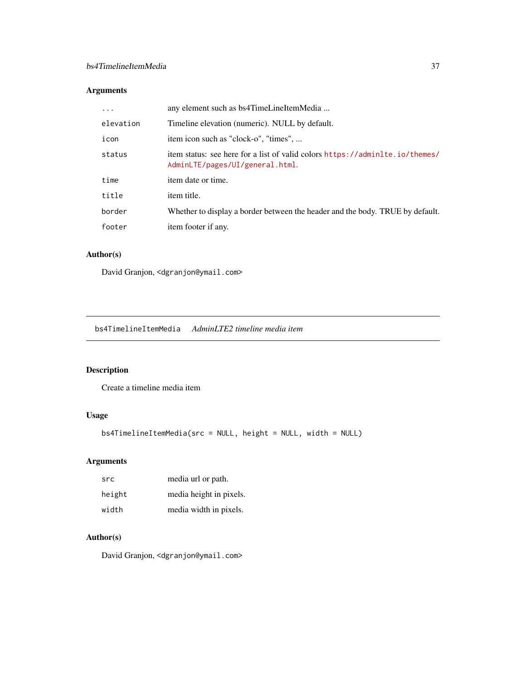# <span id="page-36-0"></span>Arguments

| $\ddots$ . | any element such as bs4TimeLineItemMedia                                                                        |
|------------|-----------------------------------------------------------------------------------------------------------------|
| elevation  | Timeline elevation (numeric). NULL by default.                                                                  |
| icon       | item icon such as "clock-o", "times",                                                                           |
| status     | item status: see here for a list of valid colors https://adminlte.io/themes/<br>AdminLTE/pages/UI/general.html. |
| time       | item date or time.                                                                                              |
| title      | item title.                                                                                                     |
| border     | Whether to display a border between the header and the body. TRUE by default.                                   |
| footer     | item footer if any.                                                                                             |

# Author(s)

David Granjon, <dgranjon@ymail.com>

bs4TimelineItemMedia *AdminLTE2 timeline media item*

# Description

Create a timeline media item

# Usage

bs4TimelineItemMedia(src = NULL, height = NULL, width = NULL)

# Arguments

| src    | media url or path.      |
|--------|-------------------------|
| height | media height in pixels. |
| width  | media width in pixels.  |

# Author(s)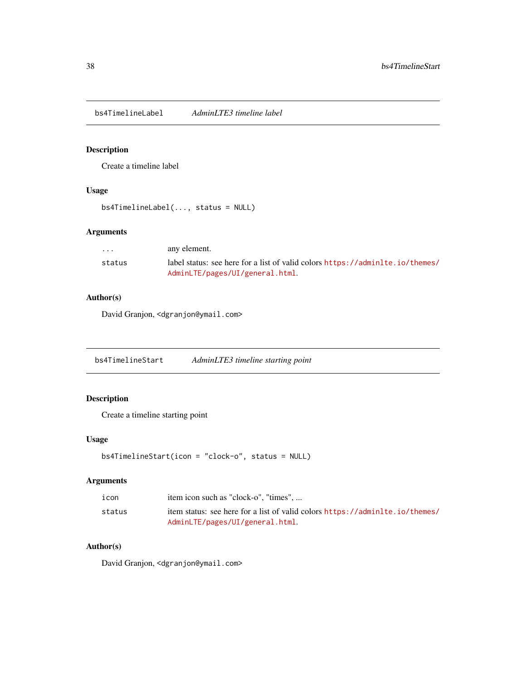<span id="page-37-0"></span>bs4TimelineLabel *AdminLTE3 timeline label*

# Description

Create a timeline label

# Usage

bs4TimelineLabel(..., status = NULL)

# Arguments

| $\cdots$ | any element.                                                                  |
|----------|-------------------------------------------------------------------------------|
| status   | label status: see here for a list of valid colors https://adminlte.io/themes/ |
|          | AdminLTE/pages/UI/general.html.                                               |

# Author(s)

David Granjon, <dgranjon@ymail.com>

bs4TimelineStart *AdminLTE3 timeline starting point*

# Description

Create a timeline starting point

# Usage

```
bs4TimelineStart(icon = "clock-o", status = NULL)
```
# Arguments

| icon   | item icon such as "clock-o". "times"                                         |
|--------|------------------------------------------------------------------------------|
| status | item status: see here for a list of valid colors https://adminite.io/themes/ |
|        | AdminLTE/pages/UI/general.html.                                              |

# Author(s)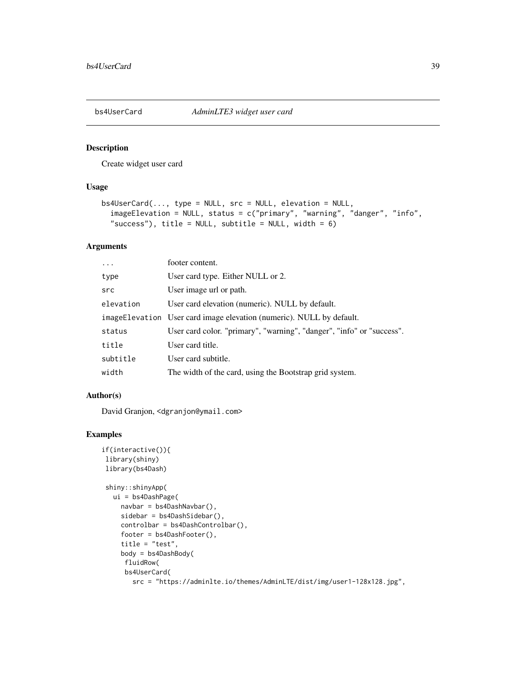<span id="page-38-0"></span>

Create widget user card

#### Usage

```
bs4UserCard(..., type = NULL, src = NULL, elevation = NULL,
  imageElevation = NULL, status = c("primary", "warning", "danger", "info",
  "success"), title = NULL, subtitle = NULL, width = 6)
```
# Arguments

| $\cdots$  | footer content.                                                       |
|-----------|-----------------------------------------------------------------------|
| type      | User card type. Either NULL or 2.                                     |
| src       | User image url or path.                                               |
| elevation | User card elevation (numeric). NULL by default.                       |
|           | image Elevation User card image elevation (numeric). NULL by default. |
| status    | User card color. "primary", "warning", "danger", "info" or "success". |
| title     | User card title.                                                      |
| subtitle  | User card subtitle.                                                   |
| width     | The width of the card, using the Bootstrap grid system.               |

#### Author(s)

David Granjon, <dgranjon@ymail.com>

```
if(interactive()){
library(shiny)
library(bs4Dash)
shiny::shinyApp(
  ui = bs4DashPage(
    navbar = bs4DashNavbar(),
    sidebar = bs4DashSidebar(),
    controlbar = bs4DashControlbar(),
    footer = bs4DashFooter(),
    title = "test",
    body = bs4DashBody(
     fluidRow(
     bs4UserCard(
       src = "https://adminlte.io/themes/AdminLTE/dist/img/user1-128x128.jpg",
```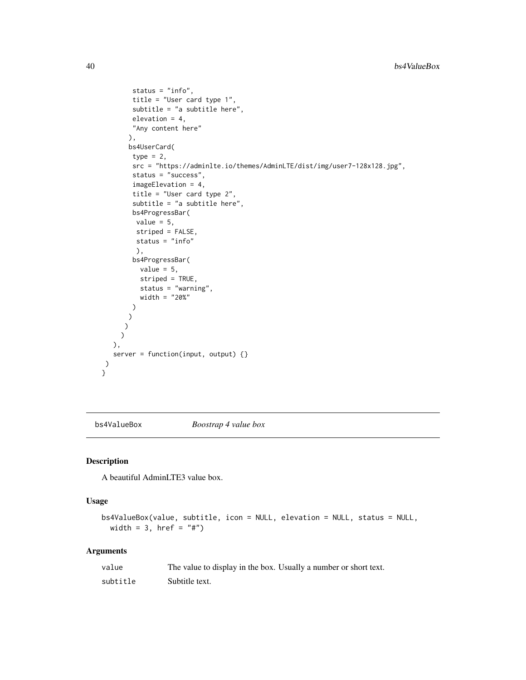```
status = "info",
       title = "User card type 1",
       subtitle = "a subtitle here",
       elevation = 4,
       "Any content here"
       ),
       bs4UserCard(
       type = 2,
       src = "https://adminlte.io/themes/AdminLTE/dist/img/user7-128x128.jpg",
       status = "success",
       imageElevation = 4,
       title = "User card type 2",
        subtitle = "a subtitle here",
       bs4ProgressBar(
        value = 5,
        striped = FALSE,
        status = "info"
        ),
       bs4ProgressBar(
         value = 5,
         striped = TRUE,
         status = "warning",
         width = "20%"
       )
      )
     )
    \lambda),
  server = function(input, output) {}
)
}
```
<span id="page-39-1"></span>bs4ValueBox *Boostrap 4 value box*

#### Description

A beautiful AdminLTE3 value box.

#### Usage

```
bs4ValueBox(value, subtitle, icon = NULL, elevation = NULL, status = NULL,
 width = 3, href = "#")
```
#### Arguments

| value    | The value to display in the box. Usually a number or short text. |
|----------|------------------------------------------------------------------|
| subtitle | Subtitle text.                                                   |

<span id="page-39-0"></span>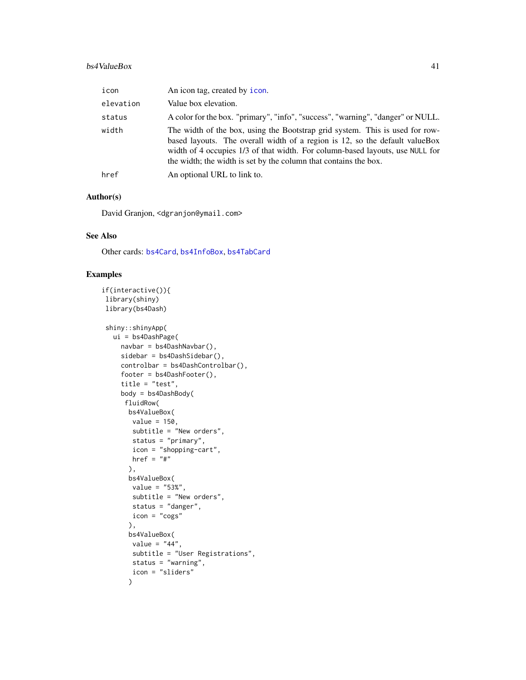#### <span id="page-40-0"></span> $b$ s4ValueBox 41

| icon      | An icon tag, created by icon.                                                                                                                                                                                                                                                                                     |
|-----------|-------------------------------------------------------------------------------------------------------------------------------------------------------------------------------------------------------------------------------------------------------------------------------------------------------------------|
| elevation | Value box elevation.                                                                                                                                                                                                                                                                                              |
| status    | A color for the box. "primary", "info", "success", "warning", "danger" or NULL.                                                                                                                                                                                                                                   |
| width     | The width of the box, using the Bootstrap grid system. This is used for row-<br>based layouts. The overall width of a region is 12, so the default value Box<br>width of 4 occupies 1/3 of that width. For column-based layouts, use NULL for<br>the width; the width is set by the column that contains the box. |
| href      | An optional URL to link to.                                                                                                                                                                                                                                                                                       |

#### Author(s)

David Granjon, <dgranjon@ymail.com>

# See Also

Other cards: [bs4Card](#page-9-1), [bs4InfoBox](#page-20-1), [bs4TabCard](#page-30-1)

```
if(interactive()){
library(shiny)
library(bs4Dash)
shiny::shinyApp(
  ui = bs4DashPage(
    navbar = bs4DashNavbar(),
    sidebar = bs4DashSidebar(),
    controlbar = bs4DashControlbar(),
    footer = bs4DashFooter(),
    title = "test",
    body = bs4DashBody(
     fluidRow(
      bs4ValueBox(
       value = 150,
       subtitle = "New orders",
       status = "primary",
       icon = "shopping-cart",
       href = "#"),
       bs4ValueBox(
       value = "53%",
       subtitle = "New orders",
       status = "danger",
       icon = "cogs"
       ),
       bs4ValueBox(
       value = "44",
       subtitle = "User Registrations",
       status = "warning",
       icon = "sliders"
       \mathcal{L}
```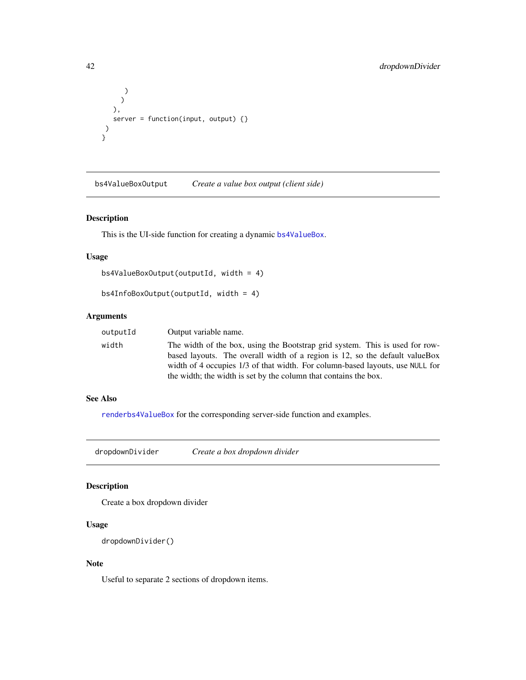```
)
       \mathcal{L}),
    server = function(input, output) {}
)
}<sup>1</sup>
```
<span id="page-41-1"></span>bs4ValueBoxOutput *Create a value box output (client side)*

#### Description

This is the UI-side function for creating a dynamic [bs4ValueBox](#page-39-1).

#### Usage

```
bs4ValueBoxOutput(outputId, width = 4)
```

```
bs4InfoBoxOutput(outputId, width = 4)
```
# Arguments

| outputId | Output variable name.                                                         |
|----------|-------------------------------------------------------------------------------|
| width    | The width of the box, using the Bootstrap grid system. This is used for row-  |
|          | based layouts. The overall width of a region is 12, so the default valueBox   |
|          | width of 4 occupies 1/3 of that width. For column-based layouts, use NULL for |
|          | the width; the width is set by the column that contains the box.              |

#### See Also

[renderbs4ValueBox](#page-43-1) for the corresponding server-side function and examples.

dropdownDivider *Create a box dropdown divider*

# Description

Create a box dropdown divider

# Usage

```
dropdownDivider()
```
### Note

Useful to separate 2 sections of dropdown items.

<span id="page-41-0"></span>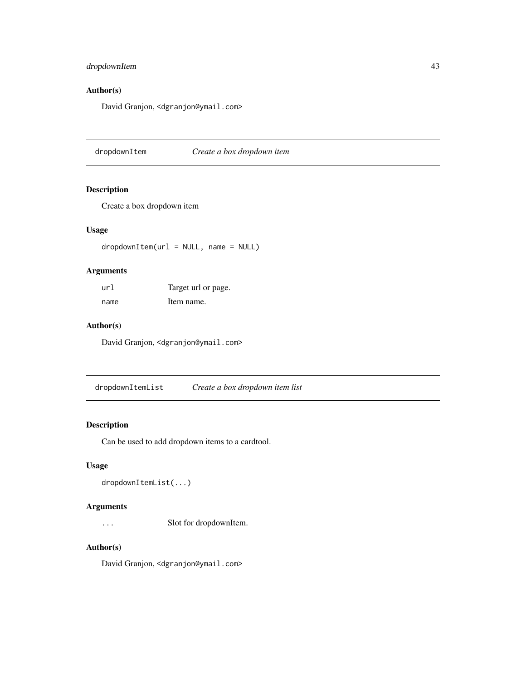# <span id="page-42-0"></span>dropdownItem 43

# Author(s)

David Granjon, <dgranjon@ymail.com>

dropdownItem *Create a box dropdown item*

# Description

Create a box dropdown item

# Usage

 $dropdownItem(url = NULL, name = NULL)$ 

### Arguments

| url  | Target url or page. |
|------|---------------------|
| name | Item name.          |

# Author(s)

David Granjon, <dgranjon@ymail.com>

dropdownItemList *Create a box dropdown item list*

# Description

Can be used to add dropdown items to a cardtool.

# Usage

```
dropdownItemList(...)
```
#### Arguments

... Slot for dropdownItem.

# Author(s)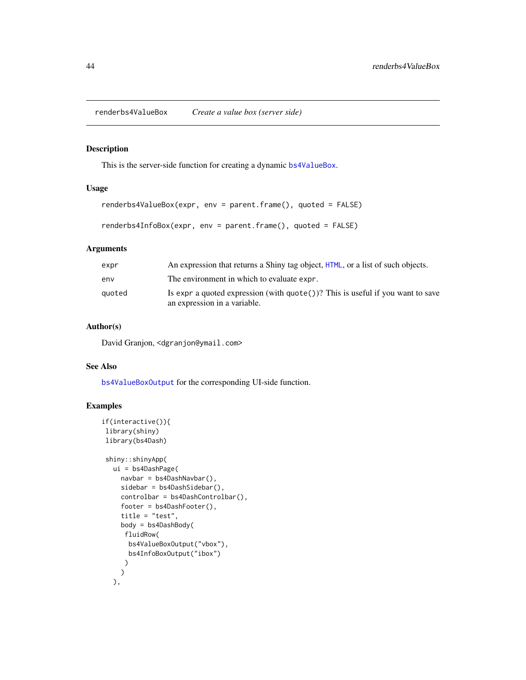<span id="page-43-1"></span><span id="page-43-0"></span>renderbs4ValueBox *Create a value box (server side)*

### Description

This is the server-side function for creating a dynamic [bs4ValueBox](#page-39-1).

# Usage

```
renderbs4ValueBox(expr, env = parent.frame(), quoted = FALSE)
```

```
renderbs4InfoBox(expr, env = parent.frame(), quoted = FALSE)
```
#### Arguments

| expr   | An expression that returns a Shiny tag object, HTML, or a list of such objects.                                          |
|--------|--------------------------------------------------------------------------------------------------------------------------|
| env    | The environment in which to evaluate expr.                                                                               |
| quoted | Is expr a quoted expression (with $\text{quote}()$ )? This is useful if you want to save<br>an expression in a variable. |

# Author(s)

David Granjon, <dgranjon@ymail.com>

# See Also

[bs4ValueBoxOutput](#page-41-1) for the corresponding UI-side function.

```
if(interactive()){
library(shiny)
library(bs4Dash)
shiny::shinyApp(
  ui = bs4DashPage(
    navbar = bs4DashNavbar(),
    sidebar = bs4DashSidebar(),
    controlbar = bs4DashControlbar(),
    footer = bs4DashFooter(),
    title = "test",
    body = bs4DashBody(
     fluidRow(
      bs4ValueBoxOutput("vbox"),
      bs4InfoBoxOutput("ibox")
     )
    )
  ),
```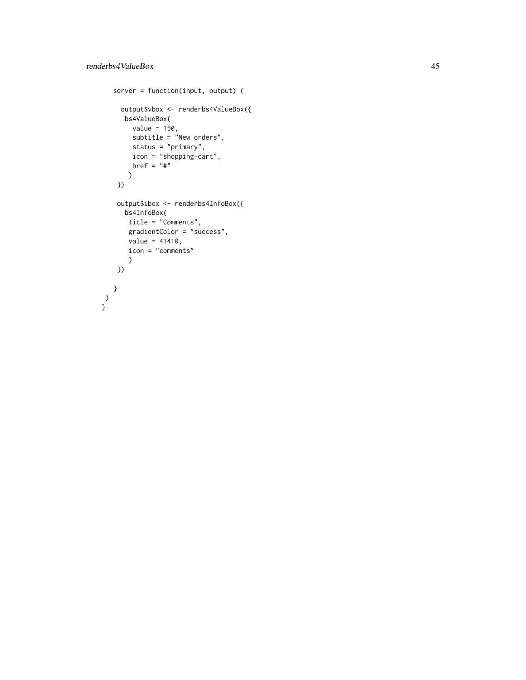```
server = function(input, output) {
    output$vbox <- renderbs4ValueBox({
     bs4ValueBox(
       value = 150,
       subtitle = "New orders",
       status = "primary",
       icon = "shopping-cart",
      href = "#")
   })
   output$ibox <- renderbs4InfoBox({
     bs4InfoBox(
      title = "Comments",
      gradientColor = "success",
      value = 41410,
      icon = "comments" )
   })
  }
)
}
```